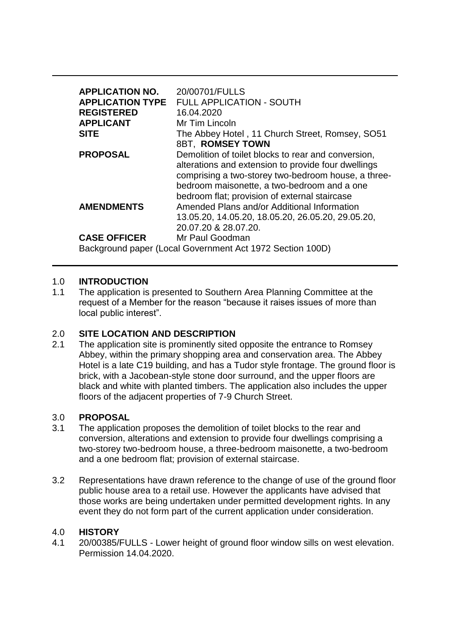| <b>APPLICATION NO.</b><br><b>APPLICATION TYPE</b>         | 20/00701/FULLS<br><b>FULL APPLICATION - SOUTH</b>                                                                                                                                                                                                                 |
|-----------------------------------------------------------|-------------------------------------------------------------------------------------------------------------------------------------------------------------------------------------------------------------------------------------------------------------------|
| <b>REGISTERED</b>                                         | 16.04.2020                                                                                                                                                                                                                                                        |
| <b>APPLICANT</b>                                          | Mr Tim Lincoln                                                                                                                                                                                                                                                    |
| <b>SITE</b>                                               | The Abbey Hotel, 11 Church Street, Romsey, SO51                                                                                                                                                                                                                   |
|                                                           | <b>8BT, ROMSEY TOWN</b>                                                                                                                                                                                                                                           |
| <b>PROPOSAL</b>                                           | Demolition of toilet blocks to rear and conversion,<br>alterations and extension to provide four dwellings<br>comprising a two-storey two-bedroom house, a three-<br>bedroom maisonette, a two-bedroom and a one<br>bedroom flat; provision of external staircase |
| <b>AMENDMENTS</b>                                         | Amended Plans and/or Additional Information                                                                                                                                                                                                                       |
|                                                           | 13.05.20, 14.05.20, 18.05.20, 26.05.20, 29.05.20,                                                                                                                                                                                                                 |
|                                                           | 20.07.20 & 28.07.20.                                                                                                                                                                                                                                              |
| <b>CASE OFFICER</b>                                       | Mr Paul Goodman                                                                                                                                                                                                                                                   |
| Background paper (Local Government Act 1972 Section 100D) |                                                                                                                                                                                                                                                                   |

### 1.0 **INTRODUCTION**

1.1 The application is presented to Southern Area Planning Committee at the request of a Member for the reason "because it raises issues of more than local public interest".

# 2.0 **SITE LOCATION AND DESCRIPTION**

2.1 The application site is prominently sited opposite the entrance to Romsey Abbey, within the primary shopping area and conservation area. The Abbey Hotel is a late C19 building, and has a Tudor style frontage. The ground floor is brick, with a Jacobean-style stone door surround, and the upper floors are black and white with planted timbers. The application also includes the upper floors of the adjacent properties of 7-9 Church Street.

#### 3.0 **PROPOSAL**

- 3.1 The application proposes the demolition of toilet blocks to the rear and conversion, alterations and extension to provide four dwellings comprising a two-storey two-bedroom house, a three-bedroom maisonette, a two-bedroom and a one bedroom flat; provision of external staircase.
- 3.2 Representations have drawn reference to the change of use of the ground floor public house area to a retail use. However the applicants have advised that those works are being undertaken under permitted development rights. In any event they do not form part of the current application under consideration.

#### 4.0 **HISTORY**

4.1 20/00385/FULLS - Lower height of ground floor window sills on west elevation. Permission 14.04.2020.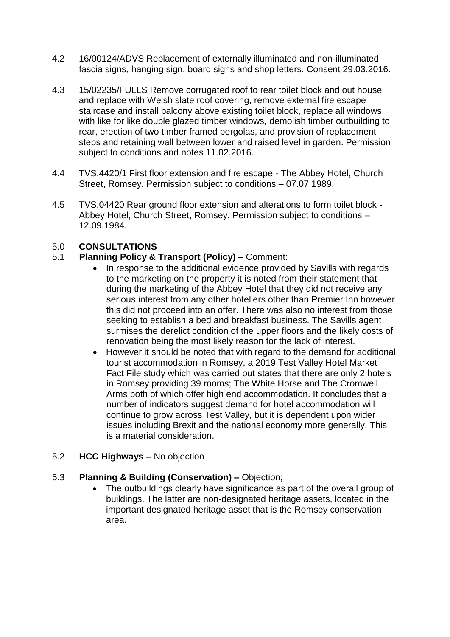- 4.2 16/00124/ADVS Replacement of externally illuminated and non-illuminated fascia signs, hanging sign, board signs and shop letters. Consent 29.03.2016.
- 4.3 15/02235/FULLS Remove corrugated roof to rear toilet block and out house and replace with Welsh slate roof covering, remove external fire escape staircase and install balcony above existing toilet block, replace all windows with like for like double glazed timber windows, demolish timber outbuilding to rear, erection of two timber framed pergolas, and provision of replacement steps and retaining wall between lower and raised level in garden. Permission subject to conditions and notes 11.02.2016.
- 4.4 TVS.4420/1 First floor extension and fire escape The Abbey Hotel, Church Street, Romsey. Permission subject to conditions – 07.07.1989.
- 4.5 TVS.04420 Rear ground floor extension and alterations to form toilet block Abbey Hotel, Church Street, Romsey. Permission subject to conditions – 12.09.1984.

# 5.0 **CONSULTATIONS**

# 5.1 **Planning Policy & Transport (Policy) –** Comment:

- In response to the additional evidence provided by Savills with regards to the marketing on the property it is noted from their statement that during the marketing of the Abbey Hotel that they did not receive any serious interest from any other hoteliers other than Premier Inn however this did not proceed into an offer. There was also no interest from those seeking to establish a bed and breakfast business. The Savills agent surmises the derelict condition of the upper floors and the likely costs of renovation being the most likely reason for the lack of interest.
- However it should be noted that with regard to the demand for additional tourist accommodation in Romsey, a 2019 Test Valley Hotel Market Fact File study which was carried out states that there are only 2 hotels in Romsey providing 39 rooms; The White Horse and The Cromwell Arms both of which offer high end accommodation. It concludes that a number of indicators suggest demand for hotel accommodation will continue to grow across Test Valley, but it is dependent upon wider issues including Brexit and the national economy more generally. This is a material consideration.

# 5.2 **HCC Highways –** No objection

# 5.3 **Planning & Building (Conservation) –** Objection;

• The outbuildings clearly have significance as part of the overall group of buildings. The latter are non-designated heritage assets, located in the important designated heritage asset that is the Romsey conservation area.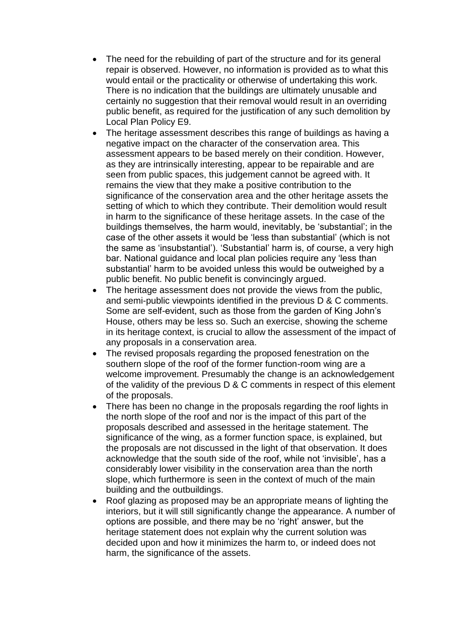- The need for the rebuilding of part of the structure and for its general repair is observed. However, no information is provided as to what this would entail or the practicality or otherwise of undertaking this work. There is no indication that the buildings are ultimately unusable and certainly no suggestion that their removal would result in an overriding public benefit, as required for the justification of any such demolition by Local Plan Policy E9.
- The heritage assessment describes this range of buildings as having a negative impact on the character of the conservation area. This assessment appears to be based merely on their condition. However, as they are intrinsically interesting, appear to be repairable and are seen from public spaces, this judgement cannot be agreed with. It remains the view that they make a positive contribution to the significance of the conservation area and the other heritage assets the setting of which to which they contribute. Their demolition would result in harm to the significance of these heritage assets. In the case of the buildings themselves, the harm would, inevitably, be 'substantial'; in the case of the other assets it would be 'less than substantial' (which is not the same as 'insubstantial'). 'Substantial' harm is, of course, a very high bar. National guidance and local plan policies require any 'less than substantial' harm to be avoided unless this would be outweighed by a public benefit. No public benefit is convincingly argued.
- The heritage assessment does not provide the views from the public, and semi-public viewpoints identified in the previous D & C comments. Some are self-evident, such as those from the garden of King John's House, others may be less so. Such an exercise, showing the scheme in its heritage context, is crucial to allow the assessment of the impact of any proposals in a conservation area.
- The revised proposals regarding the proposed fenestration on the southern slope of the roof of the former function-room wing are a welcome improvement. Presumably the change is an acknowledgement of the validity of the previous D & C comments in respect of this element of the proposals.
- There has been no change in the proposals regarding the roof lights in the north slope of the roof and nor is the impact of this part of the proposals described and assessed in the heritage statement. The significance of the wing, as a former function space, is explained, but the proposals are not discussed in the light of that observation. It does acknowledge that the south side of the roof, while not 'invisible', has a considerably lower visibility in the conservation area than the north slope, which furthermore is seen in the context of much of the main building and the outbuildings.
- Roof glazing as proposed may be an appropriate means of lighting the interiors, but it will still significantly change the appearance. A number of options are possible, and there may be no 'right' answer, but the heritage statement does not explain why the current solution was decided upon and how it minimizes the harm to, or indeed does not harm, the significance of the assets.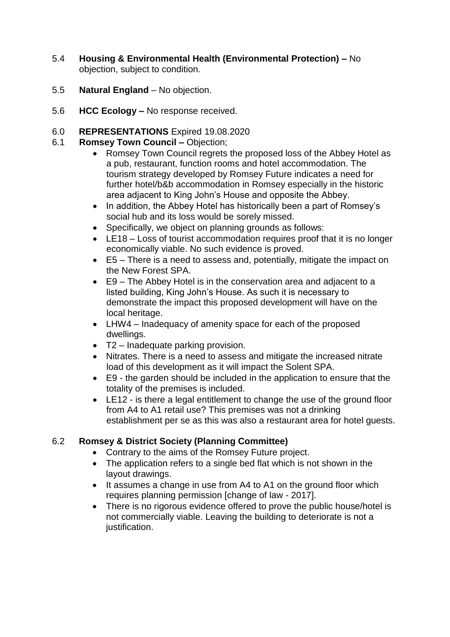- 5.4 **Housing & Environmental Health (Environmental Protection) –** No objection, subject to condition.
- 5.5 **Natural England**  No objection.
- 5.6 **HCC Ecology –** No response received.

# 6.0 **REPRESENTATIONS** Expired 19.08.2020

- 6.1 **Romsey Town Council –** Objection;
	- Romsey Town Council regrets the proposed loss of the Abbey Hotel as a pub, restaurant, function rooms and hotel accommodation. The tourism strategy developed by Romsey Future indicates a need for further hotel/b&b accommodation in Romsey especially in the historic area adjacent to King John's House and opposite the Abbey.
	- In addition, the Abbey Hotel has historically been a part of Romsey's social hub and its loss would be sorely missed.
	- Specifically, we object on planning grounds as follows:
	- LE18 Loss of tourist accommodation requires proof that it is no longer economically viable. No such evidence is proved.
	- E5 There is a need to assess and, potentially, mitigate the impact on the New Forest SPA.
	- E9 The Abbey Hotel is in the conservation area and adjacent to a listed building, King John's House. As such it is necessary to demonstrate the impact this proposed development will have on the local heritage.
	- LHW4 Inadequacy of amenity space for each of the proposed dwellings.
	- T2 Inadequate parking provision.
	- Nitrates. There is a need to assess and mitigate the increased nitrate load of this development as it will impact the Solent SPA.
	- E9 the garden should be included in the application to ensure that the totality of the premises is included.
	- LE12 is there a legal entitlement to change the use of the ground floor from A4 to A1 retail use? This premises was not a drinking establishment per se as this was also a restaurant area for hotel guests.

# 6.2 **Romsey & District Society (Planning Committee)**

- Contrary to the aims of the Romsey Future project.
- The application refers to a single bed flat which is not shown in the layout drawings.
- It assumes a change in use from A4 to A1 on the ground floor which requires planning permission [change of law - 2017].
- There is no rigorous evidence offered to prove the public house/hotel is not commercially viable. Leaving the building to deteriorate is not a justification.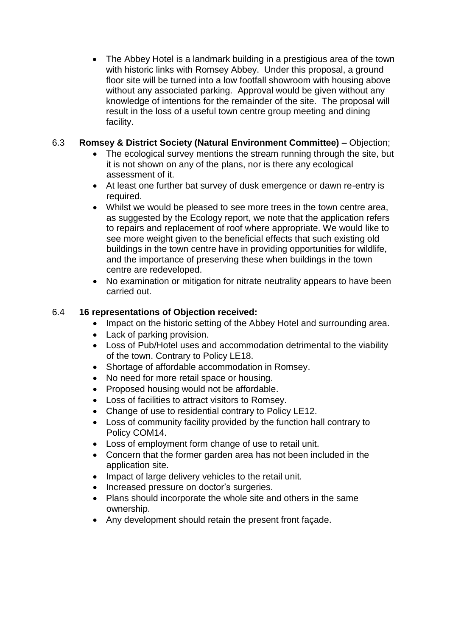The Abbey Hotel is a landmark building in a prestigious area of the town with historic links with Romsey Abbey. Under this proposal, a ground floor site will be turned into a low footfall showroom with housing above without any associated parking. Approval would be given without any knowledge of intentions for the remainder of the site. The proposal will result in the loss of a useful town centre group meeting and dining facility.

# 6.3 **Romsey & District Society (Natural Environment Committee) –** Objection;

- The ecological survey mentions the stream running through the site, but it is not shown on any of the plans, nor is there any ecological assessment of it.
- At least one further bat survey of dusk emergence or dawn re-entry is required.
- Whilst we would be pleased to see more trees in the town centre area, as suggested by the Ecology report, we note that the application refers to repairs and replacement of roof where appropriate. We would like to see more weight given to the beneficial effects that such existing old buildings in the town centre have in providing opportunities for wildlife, and the importance of preserving these when buildings in the town centre are redeveloped.
- No examination or mitigation for nitrate neutrality appears to have been carried out.

# 6.4 **16 representations of Objection received:**

- Impact on the historic setting of the Abbey Hotel and surrounding area.
- Lack of parking provision.
- Loss of Pub/Hotel uses and accommodation detrimental to the viability of the town. Contrary to Policy LE18.
- Shortage of affordable accommodation in Romsey.
- No need for more retail space or housing.
- Proposed housing would not be affordable.
- Loss of facilities to attract visitors to Romsey.
- Change of use to residential contrary to Policy LE12.
- Loss of community facility provided by the function hall contrary to Policy COM14.
- Loss of employment form change of use to retail unit.
- Concern that the former garden area has not been included in the application site.
- Impact of large delivery vehicles to the retail unit.
- Increased pressure on doctor's surgeries.
- Plans should incorporate the whole site and others in the same ownership.
- Any development should retain the present front façade.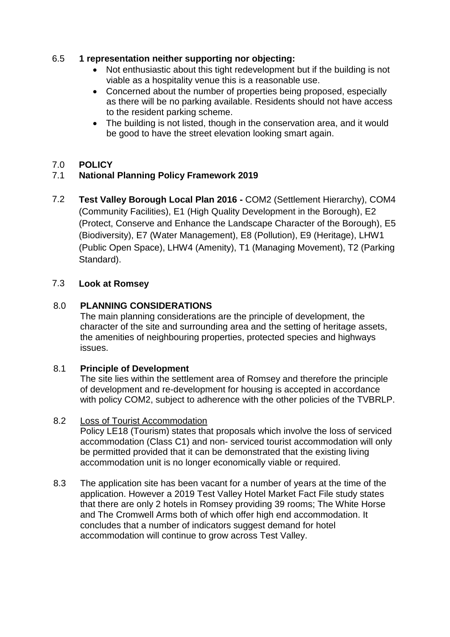# 6.5 **1 representation neither supporting nor objecting:**

- Not enthusiastic about this tight redevelopment but if the building is not viable as a hospitality venue this is a reasonable use.
- Concerned about the number of properties being proposed, especially as there will be no parking available. Residents should not have access to the resident parking scheme.
- The building is not listed, though in the conservation area, and it would be good to have the street elevation looking smart again.

# 7.0 **POLICY**

# 7.1 **National Planning Policy Framework 2019**

7.2 **Test Valley Borough Local Plan 2016 -** COM2 (Settlement Hierarchy), COM4 (Community Facilities), E1 (High Quality Development in the Borough), E2 (Protect, Conserve and Enhance the Landscape Character of the Borough), E5 (Biodiversity), E7 (Water Management), E8 (Pollution), E9 (Heritage), LHW1 (Public Open Space), LHW4 (Amenity), T1 (Managing Movement), T2 (Parking Standard).

# 7.3 **Look at Romsey**

# 8.0 **PLANNING CONSIDERATIONS**

The main planning considerations are the principle of development, the character of the site and surrounding area and the setting of heritage assets, the amenities of neighbouring properties, protected species and highways issues.

# 8.1 **Principle of Development**

The site lies within the settlement area of Romsey and therefore the principle of development and re-development for housing is accepted in accordance with policy COM2, subject to adherence with the other policies of the TVBRLP.

# 8.2 Loss of Tourist Accommodation

Policy LE18 (Tourism) states that proposals which involve the loss of serviced accommodation (Class C1) and non- serviced tourist accommodation will only be permitted provided that it can be demonstrated that the existing living accommodation unit is no longer economically viable or required.

8.3 The application site has been vacant for a number of years at the time of the application. However a 2019 Test Valley Hotel Market Fact File study states that there are only 2 hotels in Romsey providing 39 rooms; The White Horse and The Cromwell Arms both of which offer high end accommodation. It concludes that a number of indicators suggest demand for hotel accommodation will continue to grow across Test Valley.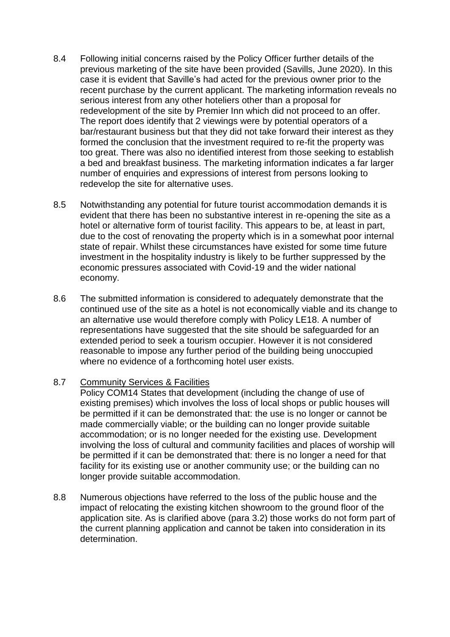- 8.4 Following initial concerns raised by the Policy Officer further details of the previous marketing of the site have been provided (Savills, June 2020). In this case it is evident that Saville's had acted for the previous owner prior to the recent purchase by the current applicant. The marketing information reveals no serious interest from any other hoteliers other than a proposal for redevelopment of the site by Premier Inn which did not proceed to an offer. The report does identify that 2 viewings were by potential operators of a bar/restaurant business but that they did not take forward their interest as they formed the conclusion that the investment required to re-fit the property was too great. There was also no identified interest from those seeking to establish a bed and breakfast business. The marketing information indicates a far larger number of enquiries and expressions of interest from persons looking to redevelop the site for alternative uses.
- 8.5 Notwithstanding any potential for future tourist accommodation demands it is evident that there has been no substantive interest in re-opening the site as a hotel or alternative form of tourist facility. This appears to be, at least in part, due to the cost of renovating the property which is in a somewhat poor internal state of repair. Whilst these circumstances have existed for some time future investment in the hospitality industry is likely to be further suppressed by the economic pressures associated with Covid-19 and the wider national economy.
- 8.6 The submitted information is considered to adequately demonstrate that the continued use of the site as a hotel is not economically viable and its change to an alternative use would therefore comply with Policy LE18. A number of representations have suggested that the site should be safeguarded for an extended period to seek a tourism occupier. However it is not considered reasonable to impose any further period of the building being unoccupied where no evidence of a forthcoming hotel user exists.

#### 8.7 Community Services & Facilities

Policy COM14 States that development (including the change of use of existing premises) which involves the loss of local shops or public houses will be permitted if it can be demonstrated that: the use is no longer or cannot be made commercially viable; or the building can no longer provide suitable accommodation; or is no longer needed for the existing use. Development involving the loss of cultural and community facilities and places of worship will be permitted if it can be demonstrated that: there is no longer a need for that facility for its existing use or another community use; or the building can no longer provide suitable accommodation.

8.8 Numerous objections have referred to the loss of the public house and the impact of relocating the existing kitchen showroom to the ground floor of the application site. As is clarified above (para 3.2) those works do not form part of the current planning application and cannot be taken into consideration in its determination.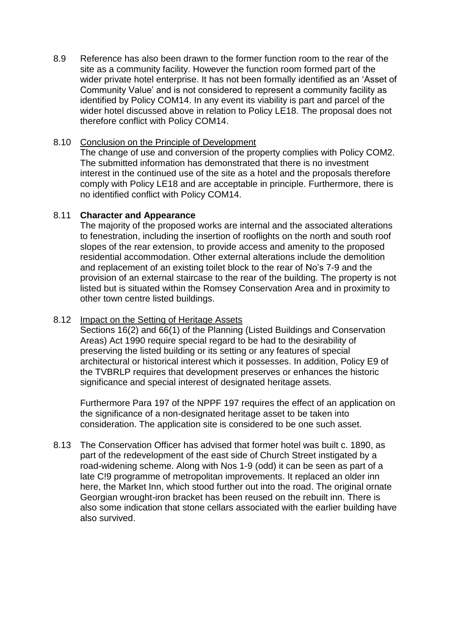8.9 Reference has also been drawn to the former function room to the rear of the site as a community facility. However the function room formed part of the wider private hotel enterprise. It has not been formally identified as an 'Asset of Community Value' and is not considered to represent a community facility as identified by Policy COM14. In any event its viability is part and parcel of the wider hotel discussed above in relation to Policy LE18. The proposal does not therefore conflict with Policy COM14.

### 8.10 Conclusion on the Principle of Development

The change of use and conversion of the property complies with Policy COM2. The submitted information has demonstrated that there is no investment interest in the continued use of the site as a hotel and the proposals therefore comply with Policy LE18 and are acceptable in principle. Furthermore, there is no identified conflict with Policy COM14.

### 8.11 **Character and Appearance**

The majority of the proposed works are internal and the associated alterations to fenestration, including the insertion of rooflights on the north and south roof slopes of the rear extension, to provide access and amenity to the proposed residential accommodation. Other external alterations include the demolition and replacement of an existing toilet block to the rear of No's 7-9 and the provision of an external staircase to the rear of the building. The property is not listed but is situated within the Romsey Conservation Area and in proximity to other town centre listed buildings.

#### 8.12 Impact on the Setting of Heritage Assets

Sections 16(2) and 66(1) of the Planning (Listed Buildings and Conservation Areas) Act 1990 require special regard to be had to the desirability of preserving the listed building or its setting or any features of special architectural or historical interest which it possesses. In addition, Policy E9 of the TVBRLP requires that development preserves or enhances the historic significance and special interest of designated heritage assets.

Furthermore Para 197 of the NPPF 197 requires the effect of an application on the significance of a non-designated heritage asset to be taken into consideration. The application site is considered to be one such asset.

8.13 The Conservation Officer has advised that former hotel was built c. 1890, as part of the redevelopment of the east side of Church Street instigated by a road-widening scheme. Along with Nos 1-9 (odd) it can be seen as part of a late C!9 programme of metropolitan improvements. It replaced an older inn here, the Market Inn, which stood further out into the road. The original ornate Georgian wrought-iron bracket has been reused on the rebuilt inn. There is also some indication that stone cellars associated with the earlier building have also survived.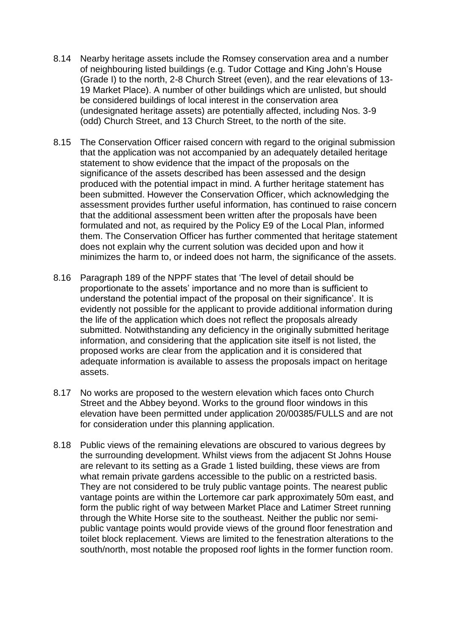- 8.14 Nearby heritage assets include the Romsey conservation area and a number of neighbouring listed buildings (e.g. Tudor Cottage and King John's House (Grade I) to the north, 2-8 Church Street (even), and the rear elevations of 13- 19 Market Place). A number of other buildings which are unlisted, but should be considered buildings of local interest in the conservation area (undesignated heritage assets) are potentially affected, including Nos. 3-9 (odd) Church Street, and 13 Church Street, to the north of the site.
- 8.15 The Conservation Officer raised concern with regard to the original submission that the application was not accompanied by an adequately detailed heritage statement to show evidence that the impact of the proposals on the significance of the assets described has been assessed and the design produced with the potential impact in mind. A further heritage statement has been submitted. However the Conservation Officer, which acknowledging the assessment provides further useful information, has continued to raise concern that the additional assessment been written after the proposals have been formulated and not, as required by the Policy E9 of the Local Plan, informed them. The Conservation Officer has further commented that heritage statement does not explain why the current solution was decided upon and how it minimizes the harm to, or indeed does not harm, the significance of the assets.
- 8.16 Paragraph 189 of the NPPF states that 'The level of detail should be proportionate to the assets' importance and no more than is sufficient to understand the potential impact of the proposal on their significance'. It is evidently not possible for the applicant to provide additional information during the life of the application which does not reflect the proposals already submitted. Notwithstanding any deficiency in the originally submitted heritage information, and considering that the application site itself is not listed, the proposed works are clear from the application and it is considered that adequate information is available to assess the proposals impact on heritage assets.
- 8.17 No works are proposed to the western elevation which faces onto Church Street and the Abbey beyond. Works to the ground floor windows in this elevation have been permitted under application 20/00385/FULLS and are not for consideration under this planning application.
- 8.18 Public views of the remaining elevations are obscured to various degrees by the surrounding development. Whilst views from the adjacent St Johns House are relevant to its setting as a Grade 1 listed building, these views are from what remain private gardens accessible to the public on a restricted basis. They are not considered to be truly public vantage points. The nearest public vantage points are within the Lortemore car park approximately 50m east, and form the public right of way between Market Place and Latimer Street running through the White Horse site to the southeast. Neither the public nor semipublic vantage points would provide views of the ground floor fenestration and toilet block replacement. Views are limited to the fenestration alterations to the south/north, most notable the proposed roof lights in the former function room.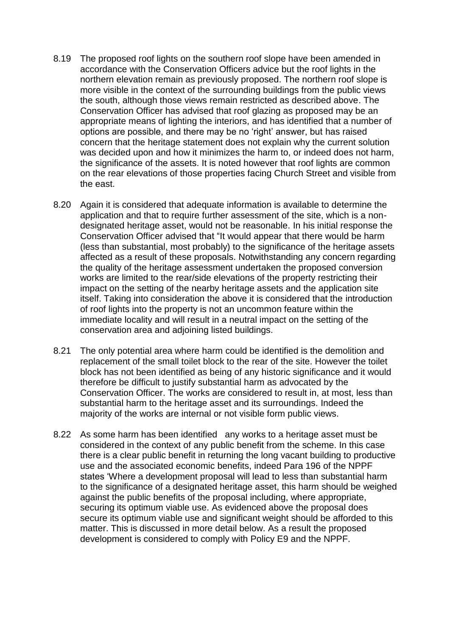- 8.19 The proposed roof lights on the southern roof slope have been amended in accordance with the Conservation Officers advice but the roof lights in the northern elevation remain as previously proposed. The northern roof slope is more visible in the context of the surrounding buildings from the public views the south, although those views remain restricted as described above. The Conservation Officer has advised that roof glazing as proposed may be an appropriate means of lighting the interiors, and has identified that a number of options are possible, and there may be no 'right' answer, but has raised concern that the heritage statement does not explain why the current solution was decided upon and how it minimizes the harm to, or indeed does not harm, the significance of the assets. It is noted however that roof lights are common on the rear elevations of those properties facing Church Street and visible from the east.
- 8.20 Again it is considered that adequate information is available to determine the application and that to require further assessment of the site, which is a nondesignated heritage asset, would not be reasonable. In his initial response the Conservation Officer advised that "It would appear that there would be harm (less than substantial, most probably) to the significance of the heritage assets affected as a result of these proposals. Notwithstanding any concern regarding the quality of the heritage assessment undertaken the proposed conversion works are limited to the rear/side elevations of the property restricting their impact on the setting of the nearby heritage assets and the application site itself. Taking into consideration the above it is considered that the introduction of roof lights into the property is not an uncommon feature within the immediate locality and will result in a neutral impact on the setting of the conservation area and adjoining listed buildings.
- 8.21 The only potential area where harm could be identified is the demolition and replacement of the small toilet block to the rear of the site. However the toilet block has not been identified as being of any historic significance and it would therefore be difficult to justify substantial harm as advocated by the Conservation Officer. The works are considered to result in, at most, less than substantial harm to the heritage asset and its surroundings. Indeed the majority of the works are internal or not visible form public views.
- 8.22 As some harm has been identified any works to a heritage asset must be considered in the context of any public benefit from the scheme. In this case there is a clear public benefit in returning the long vacant building to productive use and the associated economic benefits, indeed Para 196 of the NPPF states 'Where a development proposal will lead to less than substantial harm to the significance of a designated heritage asset, this harm should be weighed against the public benefits of the proposal including, where appropriate, securing its optimum viable use. As evidenced above the proposal does secure its optimum viable use and significant weight should be afforded to this matter. This is discussed in more detail below. As a result the proposed development is considered to comply with Policy E9 and the NPPF.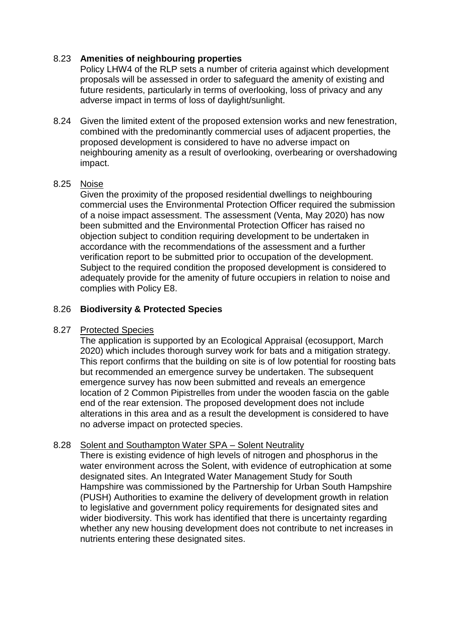## 8.23 **Amenities of neighbouring properties**

Policy LHW4 of the RLP sets a number of criteria against which development proposals will be assessed in order to safeguard the amenity of existing and future residents, particularly in terms of overlooking, loss of privacy and any adverse impact in terms of loss of daylight/sunlight.

8.24 Given the limited extent of the proposed extension works and new fenestration, combined with the predominantly commercial uses of adjacent properties, the proposed development is considered to have no adverse impact on neighbouring amenity as a result of overlooking, overbearing or overshadowing impact.

### 8.25 Noise

Given the proximity of the proposed residential dwellings to neighbouring commercial uses the Environmental Protection Officer required the submission of a noise impact assessment. The assessment (Venta, May 2020) has now been submitted and the Environmental Protection Officer has raised no objection subject to condition requiring development to be undertaken in accordance with the recommendations of the assessment and a further verification report to be submitted prior to occupation of the development. Subject to the required condition the proposed development is considered to adequately provide for the amenity of future occupiers in relation to noise and complies with Policy E8.

### 8.26 **Biodiversity & Protected Species**

#### 8.27 Protected Species

The application is supported by an Ecological Appraisal (ecosupport, March 2020) which includes thorough survey work for bats and a mitigation strategy. This report confirms that the building on site is of low potential for roosting bats but recommended an emergence survey be undertaken. The subsequent emergence survey has now been submitted and reveals an emergence location of 2 Common Pipistrelles from under the wooden fascia on the gable end of the rear extension. The proposed development does not include alterations in this area and as a result the development is considered to have no adverse impact on protected species.

# 8.28 Solent and Southampton Water SPA - Solent Neutrality

There is existing evidence of high levels of nitrogen and phosphorus in the water environment across the Solent, with evidence of eutrophication at some designated sites. An Integrated Water Management Study for South Hampshire was commissioned by the Partnership for Urban South Hampshire (PUSH) Authorities to examine the delivery of development growth in relation to legislative and government policy requirements for designated sites and wider biodiversity. This work has identified that there is uncertainty regarding whether any new housing development does not contribute to net increases in nutrients entering these designated sites.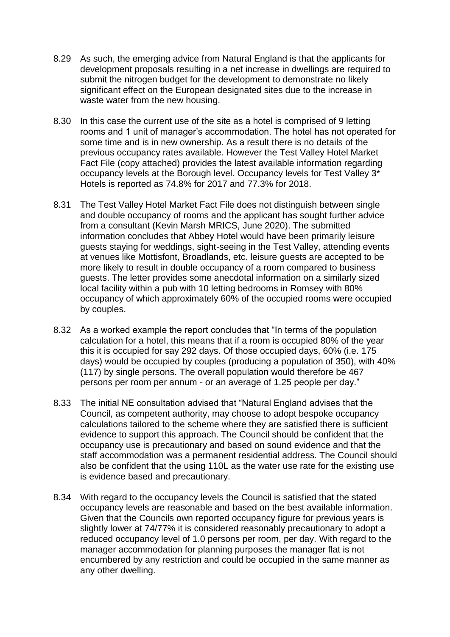- 8.29 As such, the emerging advice from Natural England is that the applicants for development proposals resulting in a net increase in dwellings are required to submit the nitrogen budget for the development to demonstrate no likely significant effect on the European designated sites due to the increase in waste water from the new housing.
- 8.30 In this case the current use of the site as a hotel is comprised of 9 letting rooms and 1 unit of manager's accommodation. The hotel has not operated for some time and is in new ownership. As a result there is no details of the previous occupancy rates available. However the Test Valley Hotel Market Fact File (copy attached) provides the latest available information regarding occupancy levels at the Borough level. Occupancy levels for Test Valley 3\* Hotels is reported as 74.8% for 2017 and 77.3% for 2018.
- 8.31 The Test Valley Hotel Market Fact File does not distinguish between single and double occupancy of rooms and the applicant has sought further advice from a consultant (Kevin Marsh MRICS, June 2020). The submitted information concludes that Abbey Hotel would have been primarily leisure guests staying for weddings, sight-seeing in the Test Valley, attending events at venues like Mottisfont, Broadlands, etc. leisure guests are accepted to be more likely to result in double occupancy of a room compared to business guests. The letter provides some anecdotal information on a similarly sized local facility within a pub with 10 letting bedrooms in Romsey with 80% occupancy of which approximately 60% of the occupied rooms were occupied by couples.
- 8.32 As a worked example the report concludes that "In terms of the population calculation for a hotel, this means that if a room is occupied 80% of the year this it is occupied for say 292 days. Of those occupied days, 60% (i.e. 175 days) would be occupied by couples (producing a population of 350), with 40% (117) by single persons. The overall population would therefore be 467 persons per room per annum - or an average of 1.25 people per day."
- 8.33 The initial NE consultation advised that "Natural England advises that the Council, as competent authority, may choose to adopt bespoke occupancy calculations tailored to the scheme where they are satisfied there is sufficient evidence to support this approach. The Council should be confident that the occupancy use is precautionary and based on sound evidence and that the staff accommodation was a permanent residential address. The Council should also be confident that the using 110L as the water use rate for the existing use is evidence based and precautionary.
- 8.34 With regard to the occupancy levels the Council is satisfied that the stated occupancy levels are reasonable and based on the best available information. Given that the Councils own reported occupancy figure for previous years is slightly lower at 74/77% it is considered reasonably precautionary to adopt a reduced occupancy level of 1.0 persons per room, per day. With regard to the manager accommodation for planning purposes the manager flat is not encumbered by any restriction and could be occupied in the same manner as any other dwelling.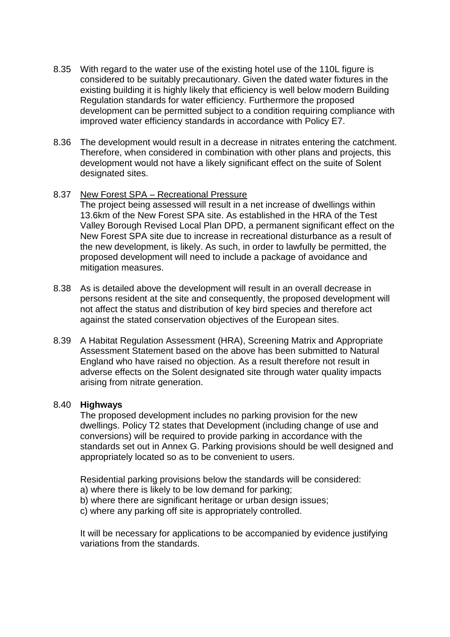- 8.35 With regard to the water use of the existing hotel use of the 110L figure is considered to be suitably precautionary. Given the dated water fixtures in the existing building it is highly likely that efficiency is well below modern Building Regulation standards for water efficiency. Furthermore the proposed development can be permitted subject to a condition requiring compliance with improved water efficiency standards in accordance with Policy E7.
- 8.36 The development would result in a decrease in nitrates entering the catchment. Therefore, when considered in combination with other plans and projects, this development would not have a likely significant effect on the suite of Solent designated sites.

#### 8.37 New Forest SPA – Recreational Pressure

The project being assessed will result in a net increase of dwellings within 13.6km of the New Forest SPA site. As established in the HRA of the Test Valley Borough Revised Local Plan DPD, a permanent significant effect on the New Forest SPA site due to increase in recreational disturbance as a result of the new development, is likely. As such, in order to lawfully be permitted, the proposed development will need to include a package of avoidance and mitigation measures.

- 8.38 As is detailed above the development will result in an overall decrease in persons resident at the site and consequently, the proposed development will not affect the status and distribution of key bird species and therefore act against the stated conservation objectives of the European sites.
- 8.39 A Habitat Regulation Assessment (HRA), Screening Matrix and Appropriate Assessment Statement based on the above has been submitted to Natural England who have raised no objection. As a result therefore not result in adverse effects on the Solent designated site through water quality impacts arising from nitrate generation.

#### 8.40 **Highways**

The proposed development includes no parking provision for the new dwellings. Policy T2 states that Development (including change of use and conversions) will be required to provide parking in accordance with the standards set out in Annex G. Parking provisions should be well designed and appropriately located so as to be convenient to users.

Residential parking provisions below the standards will be considered:

- a) where there is likely to be low demand for parking;
- b) where there are significant heritage or urban design issues;
- c) where any parking off site is appropriately controlled.

It will be necessary for applications to be accompanied by evidence justifying variations from the standards.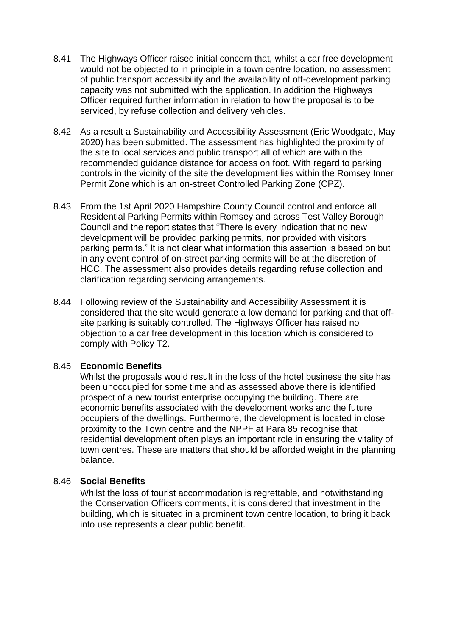- 8.41 The Highways Officer raised initial concern that, whilst a car free development would not be objected to in principle in a town centre location, no assessment of public transport accessibility and the availability of off-development parking capacity was not submitted with the application. In addition the Highways Officer required further information in relation to how the proposal is to be serviced, by refuse collection and delivery vehicles.
- 8.42 As a result a Sustainability and Accessibility Assessment (Eric Woodgate, May 2020) has been submitted. The assessment has highlighted the proximity of the site to local services and public transport all of which are within the recommended guidance distance for access on foot. With regard to parking controls in the vicinity of the site the development lies within the Romsey Inner Permit Zone which is an on-street Controlled Parking Zone (CPZ).
- 8.43 From the 1st April 2020 Hampshire County Council control and enforce all Residential Parking Permits within Romsey and across Test Valley Borough Council and the report states that "There is every indication that no new development will be provided parking permits, nor provided with visitors parking permits." It is not clear what information this assertion is based on but in any event control of on-street parking permits will be at the discretion of HCC. The assessment also provides details regarding refuse collection and clarification regarding servicing arrangements.
- 8.44 Following review of the Sustainability and Accessibility Assessment it is considered that the site would generate a low demand for parking and that offsite parking is suitably controlled. The Highways Officer has raised no objection to a car free development in this location which is considered to comply with Policy T2.

#### 8.45 **Economic Benefits**

Whilst the proposals would result in the loss of the hotel business the site has been unoccupied for some time and as assessed above there is identified prospect of a new tourist enterprise occupying the building. There are economic benefits associated with the development works and the future occupiers of the dwellings. Furthermore, the development is located in close proximity to the Town centre and the NPPF at Para 85 recognise that residential development often plays an important role in ensuring the vitality of town centres. These are matters that should be afforded weight in the planning balance.

#### 8.46 **Social Benefits**

Whilst the loss of tourist accommodation is regrettable, and notwithstanding the Conservation Officers comments, it is considered that investment in the building, which is situated in a prominent town centre location, to bring it back into use represents a clear public benefit.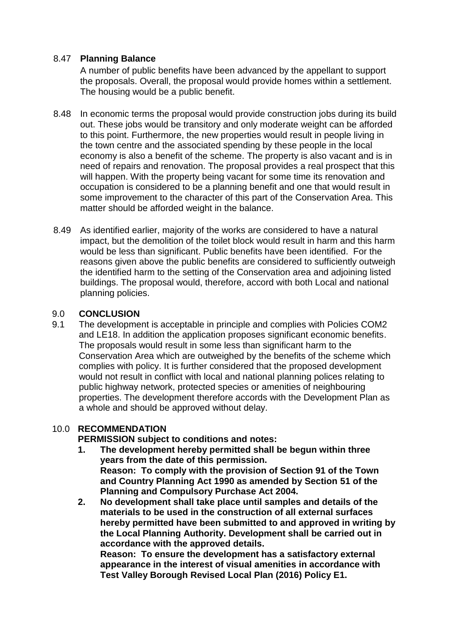# 8.47 **Planning Balance**

A number of public benefits have been advanced by the appellant to support the proposals. Overall, the proposal would provide homes within a settlement. The housing would be a public benefit.

- 8.48 In economic terms the proposal would provide construction jobs during its build out. These jobs would be transitory and only moderate weight can be afforded to this point. Furthermore, the new properties would result in people living in the town centre and the associated spending by these people in the local economy is also a benefit of the scheme. The property is also vacant and is in need of repairs and renovation. The proposal provides a real prospect that this will happen. With the property being vacant for some time its renovation and occupation is considered to be a planning benefit and one that would result in some improvement to the character of this part of the Conservation Area. This matter should be afforded weight in the balance.
- 8.49 As identified earlier, majority of the works are considered to have a natural impact, but the demolition of the toilet block would result in harm and this harm would be less than significant. Public benefits have been identified. For the reasons given above the public benefits are considered to sufficiently outweigh the identified harm to the setting of the Conservation area and adjoining listed buildings. The proposal would, therefore, accord with both Local and national planning policies.

## 9.0 **CONCLUSION**

9.1 The development is acceptable in principle and complies with Policies COM2 and LE18. In addition the application proposes significant economic benefits. The proposals would result in some less than significant harm to the Conservation Area which are outweighed by the benefits of the scheme which complies with policy. It is further considered that the proposed development would not result in conflict with local and national planning polices relating to public highway network, protected species or amenities of neighbouring properties. The development therefore accords with the Development Plan as a whole and should be approved without delay.

# 10.0 **RECOMMENDATION**

**PERMISSION subject to conditions and notes:**

- **1. The development hereby permitted shall be begun within three years from the date of this permission. Reason: To comply with the provision of Section 91 of the Town and Country Planning Act 1990 as amended by Section 51 of the Planning and Compulsory Purchase Act 2004.**
- **2. No development shall take place until samples and details of the materials to be used in the construction of all external surfaces hereby permitted have been submitted to and approved in writing by the Local Planning Authority. Development shall be carried out in accordance with the approved details.**

**Reason: To ensure the development has a satisfactory external appearance in the interest of visual amenities in accordance with Test Valley Borough Revised Local Plan (2016) Policy E1.**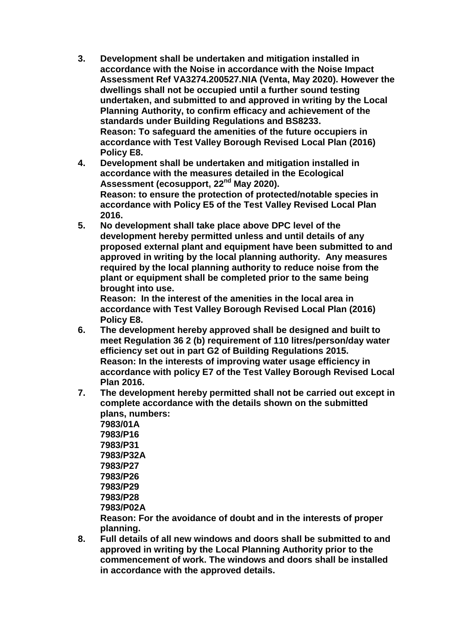- **3. Development shall be undertaken and mitigation installed in accordance with the Noise in accordance with the Noise Impact Assessment Ref VA3274.200527.NIA (Venta, May 2020). However the dwellings shall not be occupied until a further sound testing undertaken, and submitted to and approved in writing by the Local Planning Authority, to confirm efficacy and achievement of the standards under Building Regulations and BS8233. Reason: To safeguard the amenities of the future occupiers in accordance with Test Valley Borough Revised Local Plan (2016) Policy E8.**
- **4. Development shall be undertaken and mitigation installed in accordance with the measures detailed in the Ecological Assessment (ecosupport, 22nd May 2020). Reason: to ensure the protection of protected/notable species in accordance with Policy E5 of the Test Valley Revised Local Plan 2016.**
- **5. No development shall take place above DPC level of the development hereby permitted unless and until details of any proposed external plant and equipment have been submitted to and approved in writing by the local planning authority. Any measures required by the local planning authority to reduce noise from the plant or equipment shall be completed prior to the same being brought into use.**

**Reason: In the interest of the amenities in the local area in accordance with Test Valley Borough Revised Local Plan (2016) Policy E8.**

- **6. The development hereby approved shall be designed and built to meet Regulation 36 2 (b) requirement of 110 litres/person/day water efficiency set out in part G2 of Building Regulations 2015. Reason: In the interests of improving water usage efficiency in accordance with policy E7 of the Test Valley Borough Revised Local Plan 2016.**
- **7. The development hereby permitted shall not be carried out except in complete accordance with the details shown on the submitted plans, numbers:**

**7983/01A 7983/P16 7983/P31 7983/P32A 7983/P27 7983/P26 7983/P29 7983/P28 7983/P02A**

**Reason: For the avoidance of doubt and in the interests of proper planning.**

**8. Full details of all new windows and doors shall be submitted to and approved in writing by the Local Planning Authority prior to the commencement of work. The windows and doors shall be installed in accordance with the approved details.**